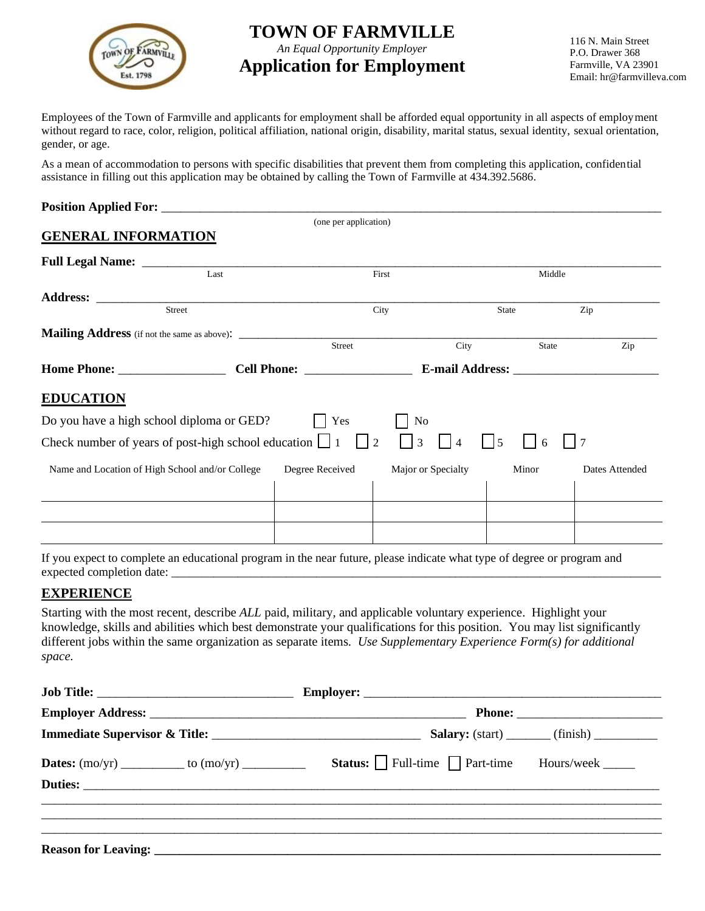

# **TOWN OF FARMVILLE**

*An Equal Opportunity Employer*

## **Application for Employment**

116 N. Main Street P.O. Drawer 368 Farmville, VA 23901 Email: hr@farmvilleva.com

Employees of the Town of Farmville and applicants for employment shall be afforded equal opportunity in all aspects of employment without regard to race, color, religion, political affiliation, national origin, disability, marital status, sexual identity, sexual orientation, gender, or age.

As a mean of accommodation to persons with specific disabilities that prevent them from completing this application, confidential assistance in filling out this application may be obtained by calling the Town of Farmville at 434.392.5686.

| <b>Position Applied For:</b> |                       |  |
|------------------------------|-----------------------|--|
|                              | (one per application) |  |

#### **GENERAL INFORMATION**

| Last                                                                                                                                                 |  | First           |                    | Middle |                |
|------------------------------------------------------------------------------------------------------------------------------------------------------|--|-----------------|--------------------|--------|----------------|
|                                                                                                                                                      |  |                 |                    |        |                |
| <b>Street</b>                                                                                                                                        |  | City            |                    | State  | Zip            |
|                                                                                                                                                      |  |                 |                    |        |                |
|                                                                                                                                                      |  | Street          | City               | State  | Zip            |
|                                                                                                                                                      |  |                 |                    |        |                |
| <b>EDUCATION</b>                                                                                                                                     |  |                 |                    |        |                |
| Do you have a high school diploma or GED?                                                                                                            |  | Yes             | N <sub>0</sub>     |        |                |
| Check number of years of post-high school education $\boxed{\phantom{0}}$ 1 $\boxed{\phantom{0}}$ 2<br>$\vert$   3<br>$ $   5<br>$\overline{4}$<br>6 |  |                 |                    |        |                |
| Name and Location of High School and/or College                                                                                                      |  | Degree Received | Major or Specialty | Minor  | Dates Attended |
|                                                                                                                                                      |  |                 |                    |        |                |
|                                                                                                                                                      |  |                 |                    |        |                |
|                                                                                                                                                      |  |                 |                    |        |                |

If you expect to complete an educational program in the near future, please indicate what type of degree or program and expected completion date:

#### **EXPERIENCE**

Starting with the most recent, describe *ALL* paid, military, and applicable voluntary experience. Highlight your knowledge, skills and abilities which best demonstrate your qualifications for this position. You may list significantly different jobs within the same organization as separate items. *Use Supplementary Experience Form(s) for additional space.*

|                            | <b>Status:</b> Full-time $\Box$ Part-time Hours/week $\Box$ |  |
|----------------------------|-------------------------------------------------------------|--|
|                            |                                                             |  |
|                            |                                                             |  |
| <b>Reason for Leaving:</b> |                                                             |  |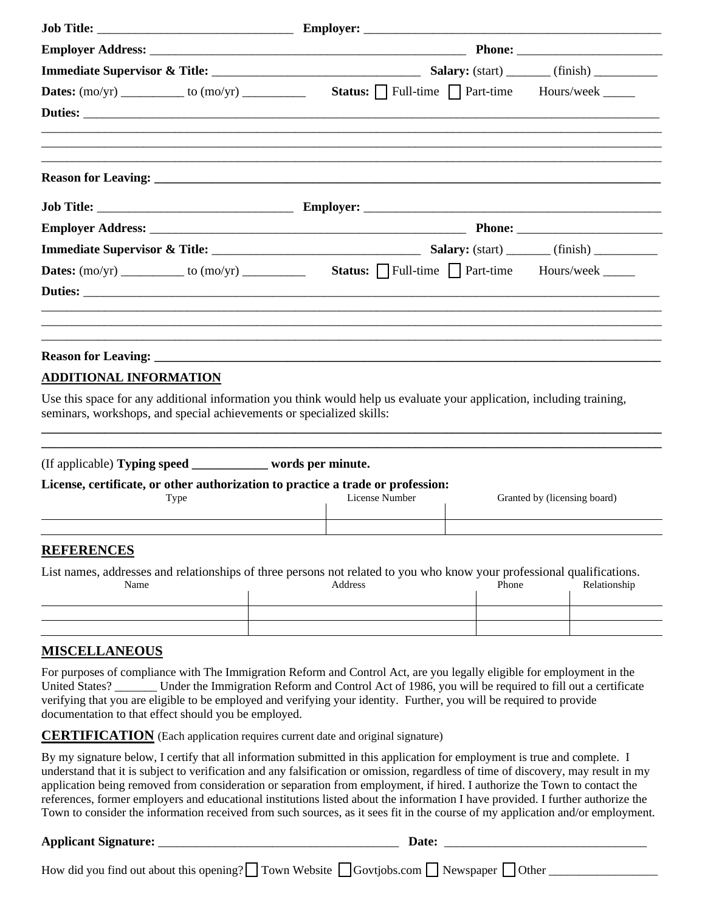| <b>ADDITIONAL INFORMATION</b>                                                   |                                                                                                                      |  |  |
|---------------------------------------------------------------------------------|----------------------------------------------------------------------------------------------------------------------|--|--|
| seminars, workshops, and special achievements or specialized skills:            | Use this space for any additional information you think would help us evaluate your application, including training, |  |  |
| (If applicable) Typing speed __________ words per minute.                       |                                                                                                                      |  |  |
| License, certificate, or other authorization to practice a trade or profession: |                                                                                                                      |  |  |

| Type | License Number | Granted by (licensing board) |
|------|----------------|------------------------------|
|      |                |                              |

#### **REFERENCES**

| List names, addresses and relationships of three persons not related to you who know your professional qualifications. |         |       |              |
|------------------------------------------------------------------------------------------------------------------------|---------|-------|--------------|
| Name                                                                                                                   | Address | Phone | Relationship |

## **MISCELLANEOUS**

For purposes of compliance with The Immigration Reform and Control Act, are you legally eligible for employment in the United States? \_\_\_\_\_\_ Under the Immigration Reform and Control Act of 1986, you will be required to fill out a certificate verifying that you are eligible to be employed and verifying your identity. Further, you will be required to provide documentation to that effect should you be employed.

**CERTIFICATION** (Each application requires current date and original signature)

By my signature below, I certify that all information submitted in this application for employment is true and complete. I understand that it is subject to verification and any falsification or omission, regardless of time of discovery, may result in my application being removed from consideration or separation from employment, if hired. I authorize the Town to contact the references, former employers and educational institutions listed about the information I have provided. I further authorize the Town to consider the information received from such sources, as it sees fit in the course of my application and/or employment.

### **Applicant Signature:** \_\_\_\_\_\_\_\_\_\_\_\_\_\_\_\_\_\_\_\_\_\_\_\_\_\_\_\_\_\_\_\_\_\_\_\_\_\_ **Date:** \_\_\_\_\_\_\_\_\_\_\_\_\_\_\_\_\_\_\_\_\_\_\_\_\_\_\_\_\_\_\_\_

How did you find out about this opening?  $\Box$  Town Website  $\Box$  Govtjobs.com  $\Box$  Newspaper  $\Box$  Other  $\Box$